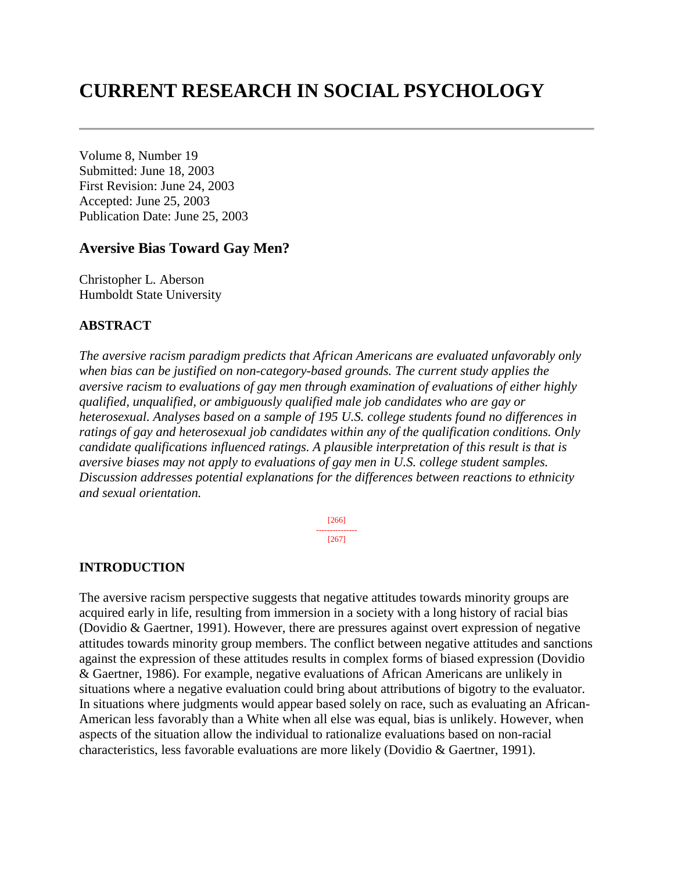# **CURRENT RESEARCH IN SOCIAL PSYCHOLOGY**

Volume 8, Number 19 Submitted: June 18, 2003 First Revision: June 24, 2003 Accepted: June 25, 2003 Publication Date: June 25, 2003

#### **Aversive Bias Toward Gay Men?**

Christopher L. Aberson Humboldt State University

#### **ABSTRACT**

*The aversive racism paradigm predicts that African Americans are evaluated unfavorably only when bias can be justified on non-category-based grounds. The current study applies the aversive racism to evaluations of gay men through examination of evaluations of either highly qualified, unqualified, or ambiguously qualified male job candidates who are gay or heterosexual. Analyses based on a sample of 195 U.S. college students found no differences in ratings of gay and heterosexual job candidates within any of the qualification conditions. Only candidate qualifications influenced ratings. A plausible interpretation of this result is that is aversive biases may not apply to evaluations of gay men in U.S. college student samples. Discussion addresses potential explanations for the differences between reactions to ethnicity and sexual orientation.* 

> [266] --------------- [267]

#### **INTRODUCTION**

The aversive racism perspective suggests that negative attitudes towards minority groups are acquired early in life, resulting from immersion in a society with a long history of racial bias (Dovidio & Gaertner, 1991). However, there are pressures against overt expression of negative attitudes towards minority group members. The conflict between negative attitudes and sanctions against the expression of these attitudes results in complex forms of biased expression (Dovidio & Gaertner, 1986). For example, negative evaluations of African Americans are unlikely in situations where a negative evaluation could bring about attributions of bigotry to the evaluator. In situations where judgments would appear based solely on race, such as evaluating an African-American less favorably than a White when all else was equal, bias is unlikely. However, when aspects of the situation allow the individual to rationalize evaluations based on non-racial characteristics, less favorable evaluations are more likely (Dovidio & Gaertner, 1991).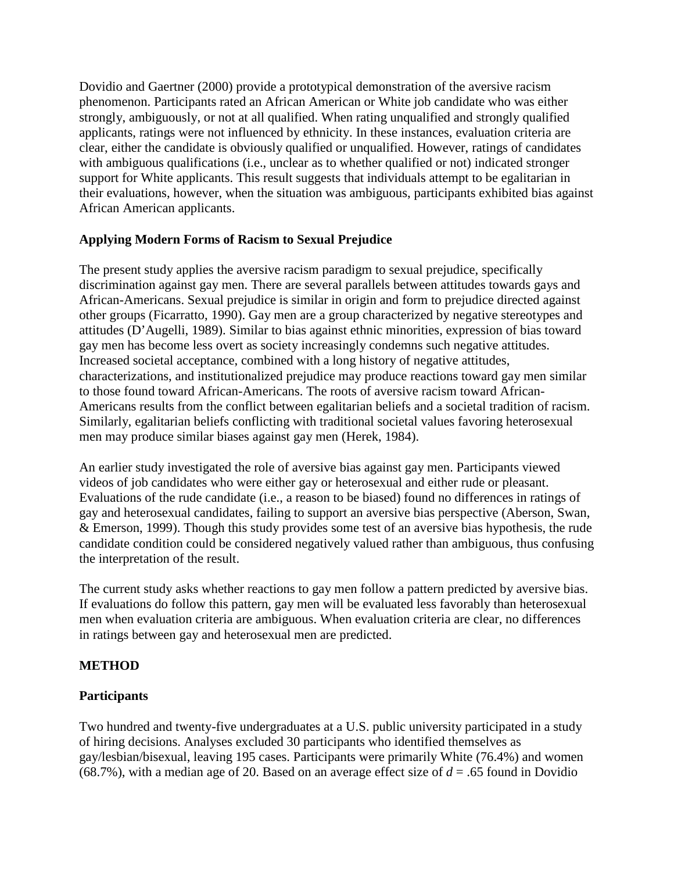Dovidio and Gaertner (2000) provide a prototypical demonstration of the aversive racism phenomenon. Participants rated an African American or White job candidate who was either strongly, ambiguously, or not at all qualified. When rating unqualified and strongly qualified applicants, ratings were not influenced by ethnicity. In these instances, evaluation criteria are clear, either the candidate is obviously qualified or unqualified. However, ratings of candidates with ambiguous qualifications (i.e., unclear as to whether qualified or not) indicated stronger support for White applicants. This result suggests that individuals attempt to be egalitarian in their evaluations, however, when the situation was ambiguous, participants exhibited bias against African American applicants.

# **Applying Modern Forms of Racism to Sexual Prejudice**

The present study applies the aversive racism paradigm to sexual prejudice, specifically discrimination against gay men. There are several parallels between attitudes towards gays and African-Americans. Sexual prejudice is similar in origin and form to prejudice directed against other groups (Ficarratto, 1990). Gay men are a group characterized by negative stereotypes and attitudes (D'Augelli, 1989). Similar to bias against ethnic minorities, expression of bias toward gay men has become less overt as society increasingly condemns such negative attitudes. Increased societal acceptance, combined with a long history of negative attitudes, characterizations, and institutionalized prejudice may produce reactions toward gay men similar to those found toward African-Americans. The roots of aversive racism toward African-Americans results from the conflict between egalitarian beliefs and a societal tradition of racism. Similarly, egalitarian beliefs conflicting with traditional societal values favoring heterosexual men may produce similar biases against gay men (Herek, 1984).

An earlier study investigated the role of aversive bias against gay men. Participants viewed videos of job candidates who were either gay or heterosexual and either rude or pleasant. Evaluations of the rude candidate (i.e., a reason to be biased) found no differences in ratings of gay and heterosexual candidates, failing to support an aversive bias perspective (Aberson, Swan, & Emerson, 1999). Though this study provides some test of an aversive bias hypothesis, the rude candidate condition could be considered negatively valued rather than ambiguous, thus confusing the interpretation of the result.

The current study asks whether reactions to gay men follow a pattern predicted by aversive bias. If evaluations do follow this pattern, gay men will be evaluated less favorably than heterosexual men when evaluation criteria are ambiguous. When evaluation criteria are clear, no differences in ratings between gay and heterosexual men are predicted.

# **METHOD**

# **Participants**

Two hundred and twenty-five undergraduates at a U.S. public university participated in a study of hiring decisions. Analyses excluded 30 participants who identified themselves as gay/lesbian/bisexual, leaving 195 cases. Participants were primarily White (76.4%) and women (68.7%), with a median age of 20. Based on an average effect size of  $d = .65$  found in Dovidio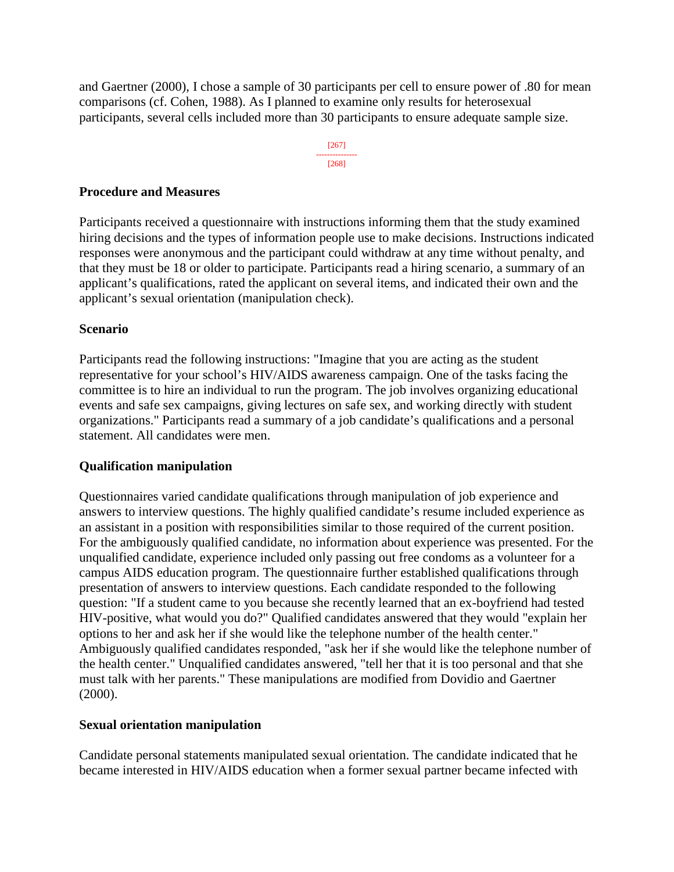and Gaertner (2000), I chose a sample of 30 participants per cell to ensure power of .80 for mean comparisons (cf. Cohen, 1988). As I planned to examine only results for heterosexual participants, several cells included more than 30 participants to ensure adequate sample size.



#### **Procedure and Measures**

Participants received a questionnaire with instructions informing them that the study examined hiring decisions and the types of information people use to make decisions. Instructions indicated responses were anonymous and the participant could withdraw at any time without penalty, and that they must be 18 or older to participate. Participants read a hiring scenario, a summary of an applicant's qualifications, rated the applicant on several items, and indicated their own and the applicant's sexual orientation (manipulation check).

#### **Scenario**

Participants read the following instructions: "Imagine that you are acting as the student representative for your school's HIV/AIDS awareness campaign. One of the tasks facing the committee is to hire an individual to run the program. The job involves organizing educational events and safe sex campaigns, giving lectures on safe sex, and working directly with student organizations." Participants read a summary of a job candidate's qualifications and a personal statement. All candidates were men.

## **Qualification manipulation**

Questionnaires varied candidate qualifications through manipulation of job experience and answers to interview questions. The highly qualified candidate's resume included experience as an assistant in a position with responsibilities similar to those required of the current position. For the ambiguously qualified candidate, no information about experience was presented. For the unqualified candidate, experience included only passing out free condoms as a volunteer for a campus AIDS education program. The questionnaire further established qualifications through presentation of answers to interview questions. Each candidate responded to the following question: "If a student came to you because she recently learned that an ex-boyfriend had tested HIV-positive, what would you do?" Qualified candidates answered that they would "explain her options to her and ask her if she would like the telephone number of the health center." Ambiguously qualified candidates responded, "ask her if she would like the telephone number of the health center." Unqualified candidates answered, "tell her that it is too personal and that she must talk with her parents." These manipulations are modified from Dovidio and Gaertner (2000).

#### **Sexual orientation manipulation**

Candidate personal statements manipulated sexual orientation. The candidate indicated that he became interested in HIV/AIDS education when a former sexual partner became infected with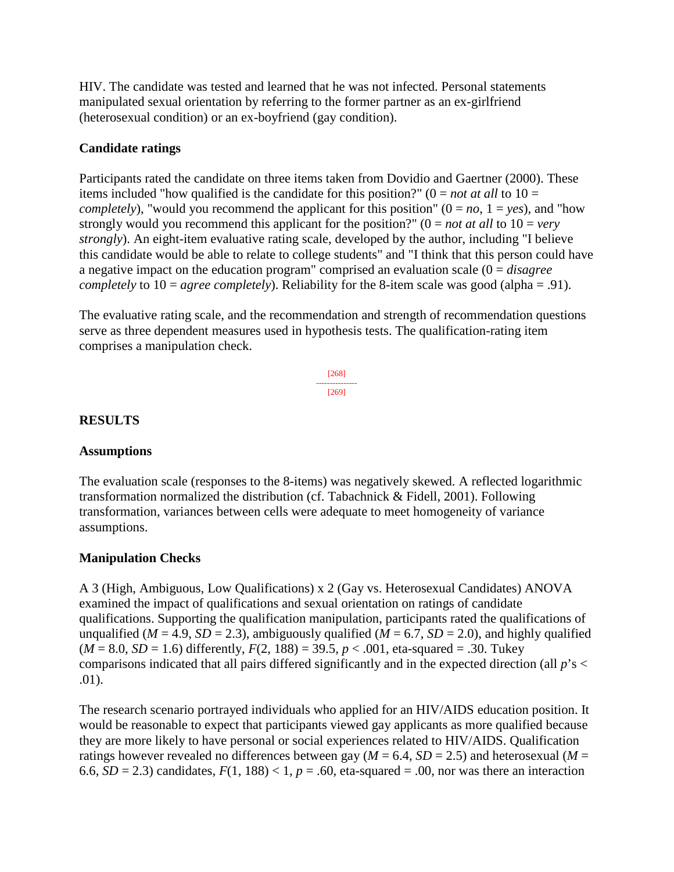HIV. The candidate was tested and learned that he was not infected. Personal statements manipulated sexual orientation by referring to the former partner as an ex-girlfriend (heterosexual condition) or an ex-boyfriend (gay condition).

### **Candidate ratings**

Participants rated the candidate on three items taken from Dovidio and Gaertner (2000). These items included "how qualified is the candidate for this position?" ( $0 = not at all$  to  $10 =$ *completely*), "would you recommend the applicant for this position"  $(0 = no, 1 = yes)$ , and "how strongly would you recommend this applicant for the position?" ( $0 = not at all to 10 = very$ *strongly*). An eight-item evaluative rating scale, developed by the author, including "I believe this candidate would be able to relate to college students" and "I think that this person could have a negative impact on the education program" comprised an evaluation scale (0 = *disagree completely* to 10 = *agree completely*). Reliability for the 8-item scale was good (alpha = .91).

The evaluative rating scale, and the recommendation and strength of recommendation questions serve as three dependent measures used in hypothesis tests. The qualification-rating item comprises a manipulation check.

$$
\begin{array}{c}\n[268] \\
\overline{269} \\
\end{array}
$$

## **RESULTS**

#### **Assumptions**

The evaluation scale (responses to the 8-items) was negatively skewed. A reflected logarithmic transformation normalized the distribution (cf. Tabachnick & Fidell, 2001). Following transformation, variances between cells were adequate to meet homogeneity of variance assumptions.

#### **Manipulation Checks**

A 3 (High, Ambiguous, Low Qualifications) x 2 (Gay vs. Heterosexual Candidates) ANOVA examined the impact of qualifications and sexual orientation on ratings of candidate qualifications. Supporting the qualification manipulation, participants rated the qualifications of unqualified ( $M = 4.9$ ,  $SD = 2.3$ ), ambiguously qualified ( $M = 6.7$ ,  $SD = 2.0$ ), and highly qualified  $(M = 8.0, SD = 1.6)$  differently,  $F(2, 188) = 39.5, p < .001$ , eta-squared = .30. Tukey comparisons indicated that all pairs differed significantly and in the expected direction (all *p*'s < .01).

The research scenario portrayed individuals who applied for an HIV/AIDS education position. It would be reasonable to expect that participants viewed gay applicants as more qualified because they are more likely to have personal or social experiences related to HIV/AIDS. Qualification ratings however revealed no differences between gay ( $M = 6.4$ ,  $SD = 2.5$ ) and heterosexual ( $M =$ 6.6,  $SD = 2.3$ ) candidates,  $F(1, 188) < 1$ ,  $p = .60$ , eta-squared = .00, nor was there an interaction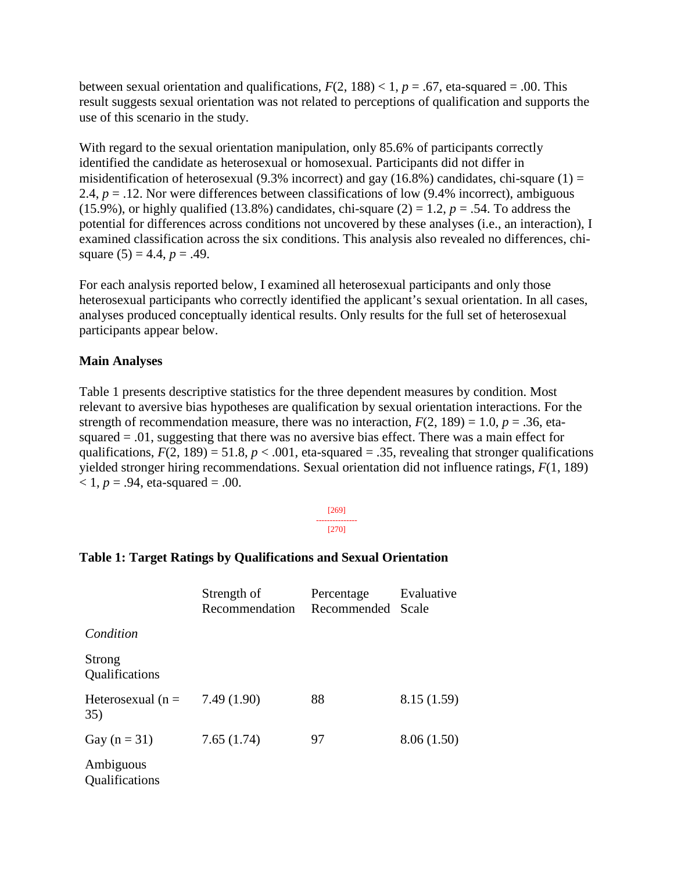between sexual orientation and qualifications,  $F(2, 188) < 1$ ,  $p = .67$ , eta-squared = .00. This result suggests sexual orientation was not related to perceptions of qualification and supports the use of this scenario in the study.

With regard to the sexual orientation manipulation, only 85.6% of participants correctly identified the candidate as heterosexual or homosexual. Participants did not differ in misidentification of heterosexual (9.3% incorrect) and gay (16.8%) candidates, chi-square (1) = 2.4,  $p = 0.12$ . Nor were differences between classifications of low  $(9.4\%$  incorrect), ambiguous (15.9%), or highly qualified (13.8%) candidates, chi-square (2) = 1.2,  $p = .54$ . To address the potential for differences across conditions not uncovered by these analyses (i.e., an interaction), I examined classification across the six conditions. This analysis also revealed no differences, chisquare  $(5) = 4.4$ ,  $p = .49$ .

For each analysis reported below, I examined all heterosexual participants and only those heterosexual participants who correctly identified the applicant's sexual orientation. In all cases, analyses produced conceptually identical results. Only results for the full set of heterosexual participants appear below.

#### **Main Analyses**

Table 1 presents descriptive statistics for the three dependent measures by condition. Most relevant to aversive bias hypotheses are qualification by sexual orientation interactions. For the strength of recommendation measure, there was no interaction,  $F(2, 189) = 1.0$ ,  $p = .36$ , etasquared  $= .01$ , suggesting that there was no aversive bias effect. There was a main effect for qualifications,  $F(2, 189) = 51.8$ ,  $p < .001$ , eta-squared = .35, revealing that stronger qualifications yielded stronger hiring recommendations. Sexual orientation did not influence ratings, *F*(1, 189)  $< 1, p = .94$ , eta-squared = .00.

#### [269] --------------- [270]

# **Table 1: Target Ratings by Qualifications and Sexual Orientation**

|                             | Strength of<br>Recommendation | Percentage<br>Recommended Scale | Evaluative |  |
|-----------------------------|-------------------------------|---------------------------------|------------|--|
| Condition                   |                               |                                 |            |  |
| Strong<br>Qualifications    |                               |                                 |            |  |
| Heterosexual ( $n =$<br>35) | 7.49(1.90)                    | 88                              | 8.15(1.59) |  |
| Gay $(n = 31)$              | 7.65(1.74)                    | 97                              | 8.06(1.50) |  |
| Ambiguous<br>Qualifications |                               |                                 |            |  |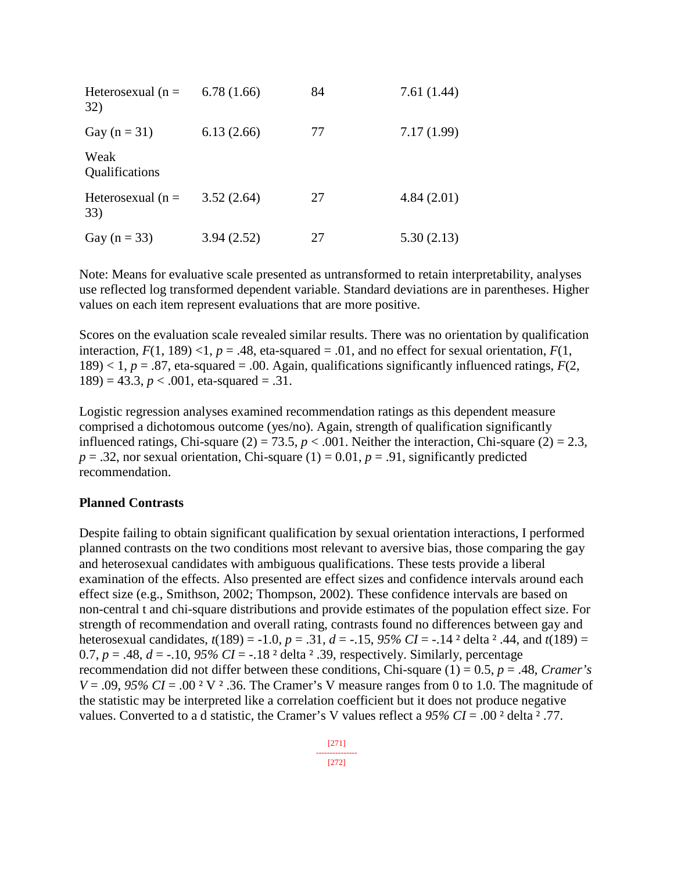| Heterosexual ( $n =$<br>32) | 6.78(1.66) | 84 | 7.61(1.44) |
|-----------------------------|------------|----|------------|
| Gay $(n = 31)$              | 6.13(2.66) | 77 | 7.17(1.99) |
| Weak<br>Qualifications      |            |    |            |
| Heterosexual ( $n =$<br>33) | 3.52(2.64) | 27 | 4.84(2.01) |
| Gay ( $n = 33$ )            | 3.94(2.52) | 27 | 5.30(2.13) |

Note: Means for evaluative scale presented as untransformed to retain interpretability, analyses use reflected log transformed dependent variable. Standard deviations are in parentheses. Higher values on each item represent evaluations that are more positive.

Scores on the evaluation scale revealed similar results. There was no orientation by qualification interaction,  $F(1, 189)$  <1,  $p = .48$ , eta-squared = .01, and no effect for sexual orientation,  $F(1, 189)$  $189$ ) < 1, *p* = .87, eta-squared = .00. Again, qualifications significantly influenced ratings,  $F(2, 1)$  $189$ ) = 43.3,  $p < .001$ , eta-squared = .31.

Logistic regression analyses examined recommendation ratings as this dependent measure comprised a dichotomous outcome (yes/no). Again, strength of qualification significantly influenced ratings, Chi-square  $(2) = 73.5$ ,  $p < .001$ . Neither the interaction, Chi-square  $(2) = 2.3$ ,  $p = .32$ , nor sexual orientation, Chi-square (1) = 0.01,  $p = .91$ , significantly predicted recommendation.

#### **Planned Contrasts**

Despite failing to obtain significant qualification by sexual orientation interactions, I performed planned contrasts on the two conditions most relevant to aversive bias, those comparing the gay and heterosexual candidates with ambiguous qualifications. These tests provide a liberal examination of the effects. Also presented are effect sizes and confidence intervals around each effect size (e.g., Smithson, 2002; Thompson, 2002). These confidence intervals are based on non-central t and chi-square distributions and provide estimates of the population effect size. For strength of recommendation and overall rating, contrasts found no differences between gay and heterosexual candidates, *t*(189) = -1.0, *p* = .31, *d* = -.15, *95% CI* = -.14 ² delta ² .44, and *t*(189) = 0.7,  $p = .48$ ,  $d = -.10$ ,  $95\% CI = -.18$  <sup>2</sup> delta <sup>2</sup> .39, respectively. Similarly, percentage recommendation did not differ between these conditions, Chi-square (1) = 0.5, *p* = .48, *Cramer's*   $V = .09$ , 95%  $CI = .00^2$  V  $^2$  .36. The Cramer's V measure ranges from 0 to 1.0. The magnitude of the statistic may be interpreted like a correlation coefficient but it does not produce negative values. Converted to a d statistic, the Cramer's V values reflect a *95% CI* = .00 ² delta ² .77.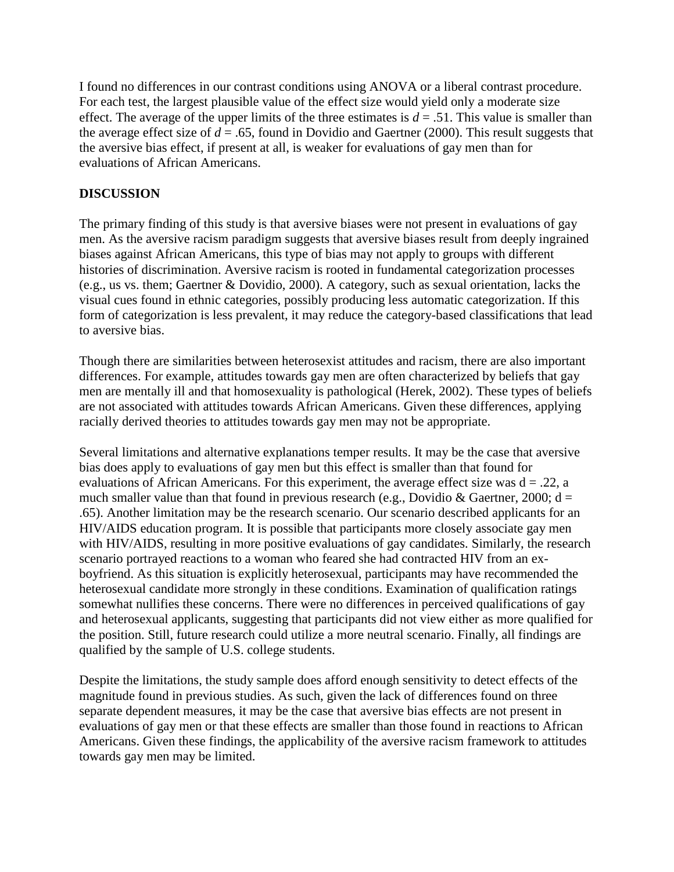I found no differences in our contrast conditions using ANOVA or a liberal contrast procedure. For each test, the largest plausible value of the effect size would yield only a moderate size effect. The average of the upper limits of the three estimates is  $d = .51$ . This value is smaller than the average effect size of  $d = .65$ , found in Dovidio and Gaertner (2000). This result suggests that the aversive bias effect, if present at all, is weaker for evaluations of gay men than for evaluations of African Americans.

# **DISCUSSION**

The primary finding of this study is that aversive biases were not present in evaluations of gay men. As the aversive racism paradigm suggests that aversive biases result from deeply ingrained biases against African Americans, this type of bias may not apply to groups with different histories of discrimination. Aversive racism is rooted in fundamental categorization processes (e.g., us vs. them; Gaertner & Dovidio, 2000). A category, such as sexual orientation, lacks the visual cues found in ethnic categories, possibly producing less automatic categorization. If this form of categorization is less prevalent, it may reduce the category-based classifications that lead to aversive bias.

Though there are similarities between heterosexist attitudes and racism, there are also important differences. For example, attitudes towards gay men are often characterized by beliefs that gay men are mentally ill and that homosexuality is pathological (Herek, 2002). These types of beliefs are not associated with attitudes towards African Americans. Given these differences, applying racially derived theories to attitudes towards gay men may not be appropriate.

Several limitations and alternative explanations temper results. It may be the case that aversive bias does apply to evaluations of gay men but this effect is smaller than that found for evaluations of African Americans. For this experiment, the average effect size was  $d = 0.22$ , a much smaller value than that found in previous research (e.g., Dovidio & Gaertner, 2000;  $d =$ .65). Another limitation may be the research scenario. Our scenario described applicants for an HIV/AIDS education program. It is possible that participants more closely associate gay men with HIV/AIDS, resulting in more positive evaluations of gay candidates. Similarly, the research scenario portrayed reactions to a woman who feared she had contracted HIV from an exboyfriend. As this situation is explicitly heterosexual, participants may have recommended the heterosexual candidate more strongly in these conditions. Examination of qualification ratings somewhat nullifies these concerns. There were no differences in perceived qualifications of gay and heterosexual applicants, suggesting that participants did not view either as more qualified for the position. Still, future research could utilize a more neutral scenario. Finally, all findings are qualified by the sample of U.S. college students.

Despite the limitations, the study sample does afford enough sensitivity to detect effects of the magnitude found in previous studies. As such, given the lack of differences found on three separate dependent measures, it may be the case that aversive bias effects are not present in evaluations of gay men or that these effects are smaller than those found in reactions to African Americans. Given these findings, the applicability of the aversive racism framework to attitudes towards gay men may be limited.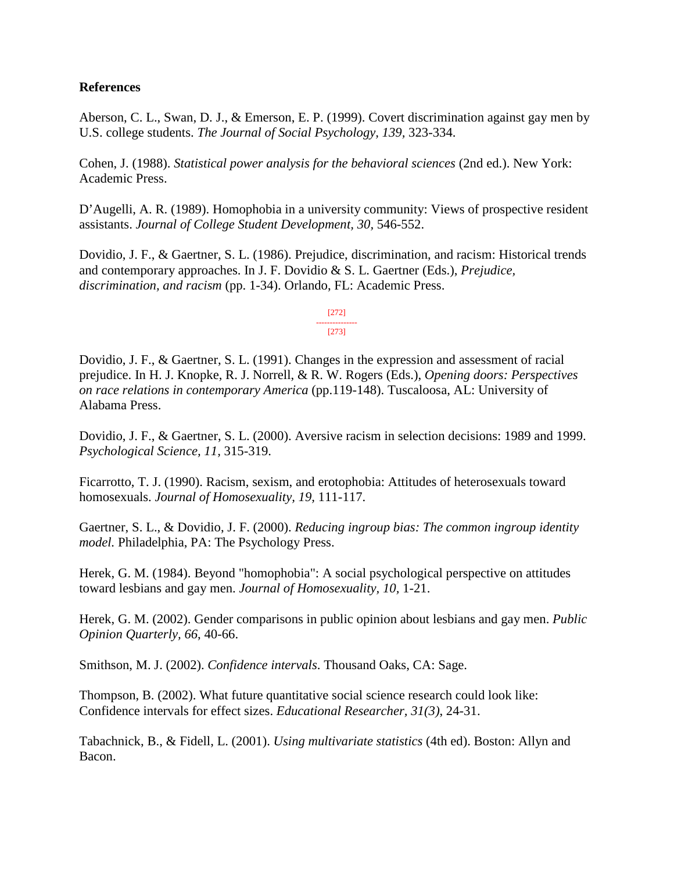#### **References**

Aberson, C. L., Swan, D. J., & Emerson, E. P. (1999). Covert discrimination against gay men by U.S. college students. *The Journal of Social Psychology, 139,* 323-334.

Cohen, J. (1988). *Statistical power analysis for the behavioral sciences* (2nd ed.). New York: Academic Press.

D'Augelli, A. R. (1989). Homophobia in a university community: Views of prospective resident assistants. *Journal of College Student Development, 30,* 546-552.

Dovidio, J. F., & Gaertner, S. L. (1986). Prejudice, discrimination, and racism: Historical trends and contemporary approaches. In J. F. Dovidio & S. L. Gaertner (Eds.), *Prejudice, discrimination, and racism* (pp. 1-34). Orlando, FL: Academic Press.

> [272] --------------- [273]

Dovidio, J. F., & Gaertner, S. L. (1991). Changes in the expression and assessment of racial prejudice. In H. J. Knopke, R. J. Norrell, & R. W. Rogers (Eds.), *Opening doors: Perspectives on race relations in contemporary America* (pp.119-148). Tuscaloosa, AL: University of Alabama Press.

Dovidio, J. F., & Gaertner, S. L. (2000). Aversive racism in selection decisions: 1989 and 1999. *Psychological Science, 11,* 315-319.

Ficarrotto, T. J. (1990). Racism, sexism, and erotophobia: Attitudes of heterosexuals toward homosexuals. *Journal of Homosexuality, 19,* 111-117.

Gaertner, S. L., & Dovidio, J. F. (2000). *Reducing ingroup bias: The common ingroup identity model.* Philadelphia, PA: The Psychology Press.

Herek, G. M. (1984). Beyond "homophobia": A social psychological perspective on attitudes toward lesbians and gay men. *Journal of Homosexuality, 10,* 1-21.

Herek, G. M. (2002). Gender comparisons in public opinion about lesbians and gay men. *Public Opinion Quarterly, 66*, 40-66.

Smithson, M. J. (2002). *Confidence intervals*. Thousand Oaks, CA: Sage.

Thompson, B. (2002). What future quantitative social science research could look like: Confidence intervals for effect sizes. *Educational Researcher, 31(3)*, 24-31.

Tabachnick, B., & Fidell, L. (2001). *Using multivariate statistics* (4th ed). Boston: Allyn and Bacon.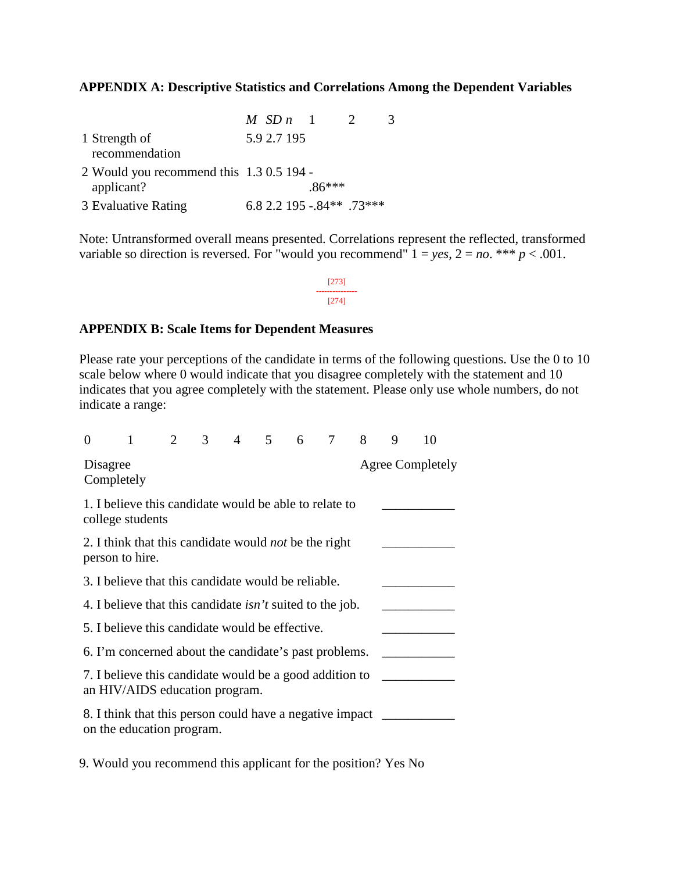### **APPENDIX A: Descriptive Statistics and Correlations Among the Dependent Variables**

|                                                        | $MSDn-1$                  |          | 3 |
|--------------------------------------------------------|---------------------------|----------|---|
| 1 Strength of<br>recommendation                        | 5.9 2.7 195               |          |   |
| 2 Would you recommend this 1.3 0.5 194 -<br>applicant? |                           | $.86***$ |   |
| 3 Evaluative Rating                                    | 6.8 2.2 195 -.84** .73*** |          |   |

Note: Untransformed overall means presented. Correlations represent the reflected, transformed variable so direction is reversed. For "would you recommend"  $1 = yes$ ,  $2 = no$ . \*\*\*  $p < .001$ .

> [273] --------------- [274]

#### **APPENDIX B: Scale Items for Dependent Measures**

Please rate your perceptions of the candidate in terms of the following questions. Use the 0 to 10 scale below where 0 would indicate that you disagree completely with the statement and 10 indicates that you agree completely with the statement. Please only use whole numbers, do not indicate a range:

| $\theta$                                                                                  |                                                                                       | $\overline{2}$ | $\mathfrak{Z}$ | 4 5 |  | 6 <sup>6</sup> | $\tau$ | 8 | 9 | 10                      |
|-------------------------------------------------------------------------------------------|---------------------------------------------------------------------------------------|----------------|----------------|-----|--|----------------|--------|---|---|-------------------------|
| Disagree<br>Completely                                                                    |                                                                                       |                |                |     |  |                |        |   |   | <b>Agree Completely</b> |
|                                                                                           | 1. I believe this candidate would be able to relate to<br>college students            |                |                |     |  |                |        |   |   |                         |
| 2. I think that this candidate would <i>not</i> be the right<br>person to hire.           |                                                                                       |                |                |     |  |                |        |   |   |                         |
| 3. I believe that this candidate would be reliable.                                       |                                                                                       |                |                |     |  |                |        |   |   |                         |
| 4. I believe that this candidate <i>isn't</i> suited to the job.                          |                                                                                       |                |                |     |  |                |        |   |   |                         |
| 5. I believe this candidate would be effective.                                           |                                                                                       |                |                |     |  |                |        |   |   |                         |
| 6. I'm concerned about the candidate's past problems.                                     |                                                                                       |                |                |     |  |                |        |   |   |                         |
| 7. I believe this candidate would be a good addition to<br>an HIV/AIDS education program. |                                                                                       |                |                |     |  |                |        |   |   |                         |
|                                                                                           | 8. I think that this person could have a negative impact<br>on the education program. |                |                |     |  |                |        |   |   |                         |

9. Would you recommend this applicant for the position? Yes No